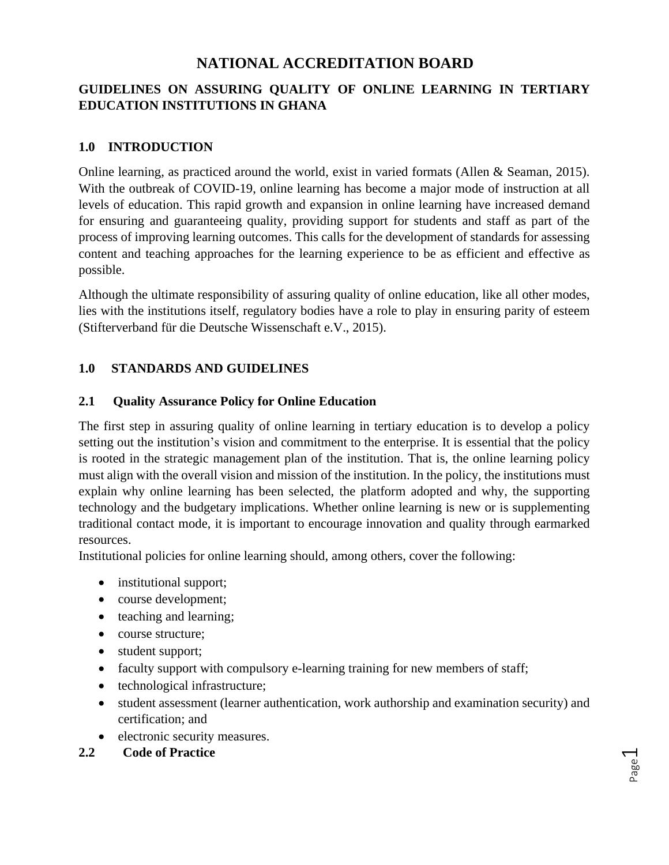# **NATIONAL ACCREDITATION BOARD**

## **GUIDELINES ON ASSURING QUALITY OF ONLINE LEARNING IN TERTIARY EDUCATION INSTITUTIONS IN GHANA**

### **1.0 INTRODUCTION**

Online learning, as practiced around the world, exist in varied formats (Allen & Seaman, 2015). With the outbreak of COVID-19, online learning has become a major mode of instruction at all levels of education. This rapid growth and expansion in online learning have increased demand for ensuring and guaranteeing quality, providing support for students and staff as part of the process of improving learning outcomes. This calls for the development of standards for assessing content and teaching approaches for the learning experience to be as efficient and effective as possible.

Although the ultimate responsibility of assuring quality of online education, like all other modes, lies with the institutions itself, regulatory bodies have a role to play in ensuring parity of esteem (Stifterverband für die Deutsche Wissenschaft e.V., 2015).

#### **1.0 STANDARDS AND GUIDELINES**

#### **2.1 Quality Assurance Policy for Online Education**

The first step in assuring quality of online learning in tertiary education is to develop a policy setting out the institution's vision and commitment to the enterprise. It is essential that the policy is rooted in the strategic management plan of the institution. That is, the online learning policy must align with the overall vision and mission of the institution. In the policy, the institutions must explain why online learning has been selected, the platform adopted and why, the supporting technology and the budgetary implications. Whether online learning is new or is supplementing traditional contact mode, it is important to encourage innovation and quality through earmarked resources.

Institutional policies for online learning should, among others, cover the following:

- institutional support;
- course development;
- teaching and learning;
- course structure;
- student support;
- faculty support with compulsory e-learning training for new members of staff;
- technological infrastructure;
- student assessment (learner authentication, work authorship and examination security) and certification; and
- electronic security measures.

#### **2.2 Code of Practice**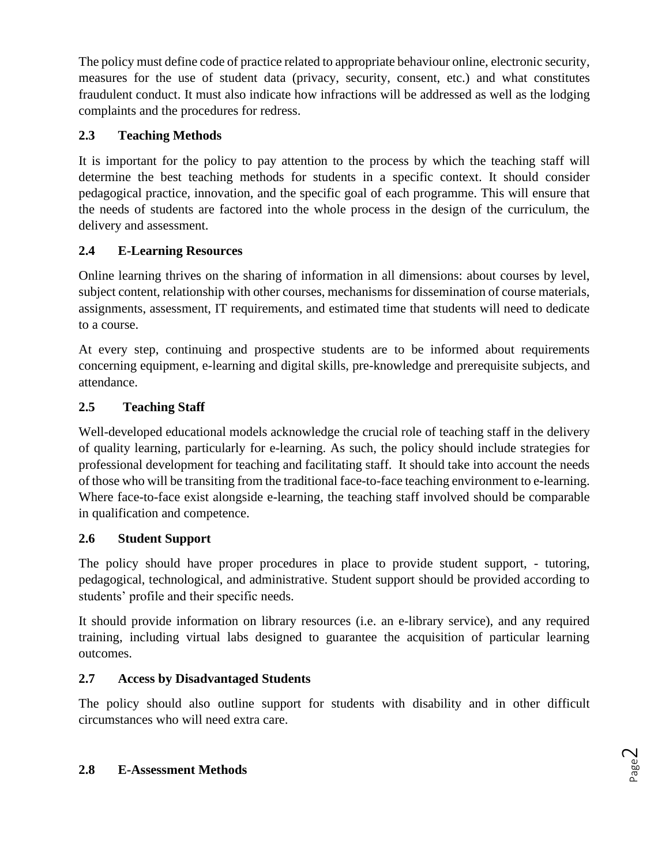The policy must define code of practice related to appropriate behaviour online, electronic security, measures for the use of student data (privacy, security, consent, etc.) and what constitutes fraudulent conduct. It must also indicate how infractions will be addressed as well as the lodging complaints and the procedures for redress.

# **2.3 Teaching Methods**

It is important for the policy to pay attention to the process by which the teaching staff will determine the best teaching methods for students in a specific context. It should consider pedagogical practice, innovation, and the specific goal of each programme. This will ensure that the needs of students are factored into the whole process in the design of the curriculum, the delivery and assessment.

# **2.4 E-Learning Resources**

Online learning thrives on the sharing of information in all dimensions: about courses by level, subject content, relationship with other courses, mechanisms for dissemination of course materials, assignments, assessment, IT requirements, and estimated time that students will need to dedicate to a course.

At every step, continuing and prospective students are to be informed about requirements concerning equipment, e-learning and digital skills, pre-knowledge and prerequisite subjects, and attendance.

# **2.5 Teaching Staff**

Well-developed educational models acknowledge the crucial role of teaching staff in the delivery of quality learning, particularly for e-learning. As such, the policy should include strategies for professional development for teaching and facilitating staff. It should take into account the needs of those who will be transiting from the traditional face-to-face teaching environment to e-learning. Where face-to-face exist alongside e-learning, the teaching staff involved should be comparable in qualification and competence.

## **2.6 Student Support**

The policy should have proper procedures in place to provide student support, - tutoring, pedagogical, technological, and administrative. Student support should be provided according to students' profile and their specific needs.

It should provide information on library resources (i.e. an e-library service), and any required training, including virtual labs designed to guarantee the acquisition of particular learning outcomes.

## **2.7 Access by Disadvantaged Students**

The policy should also outline support for students with disability and in other difficult circumstances who will need extra care.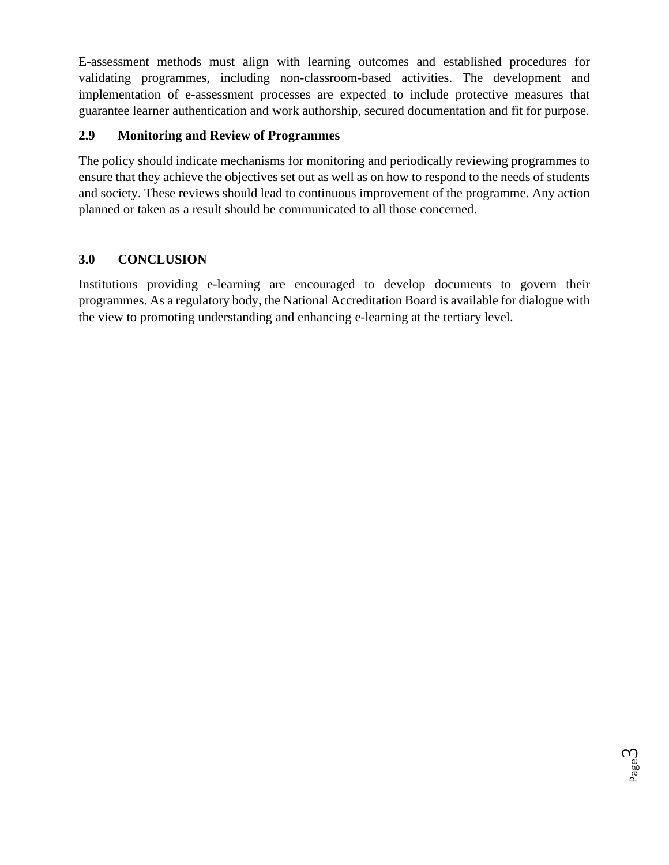E-assessment methods must align with learning outcomes and established procedures for validating programmes, including non-classroom-based activities. The development and implementation of e-assessment processes are expected to include protective measures that guarantee learner authentication and work authorship, secured documentation and fit for purpose.

## **2.9 Monitoring and Review of Programmes**

The policy should indicate mechanisms for monitoring and periodically reviewing programmes to ensure that they achieve the objectives set out as well as on how to respond to the needs of students and society. These reviews should lead to continuous improvement of the programme. Any action planned or taken as a result should be communicated to all those concerned.

## **3.0 CONCLUSION**

Institutions providing e-learning are encouraged to develop documents to govern their programmes. As a regulatory body, the National Accreditation Board is available for dialogue with the view to promoting understanding and enhancing e-learning at the tertiary level.

Page ന